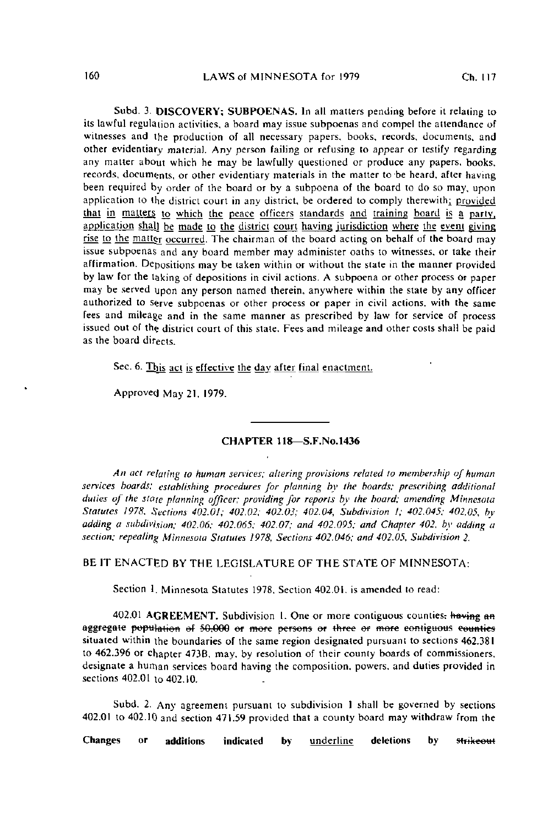Subd. 3. DISCOVERY; SUBPOENAS. In all matters pending before it relating to its lawful regulation activities, a board may issue subpoenas and compel the attendance of witnesses and the production of all necessary papers, books, records, documents, and other evidentiary material. Any person failing or refusing to appear or testify regarding any matter about which he may be lawfully questioned or produce any papers, books, records, documents, or other evidentiary materials in the matter to'be heard, after having been required by order of the board or by a subpoena of the board to do so may, upon application to the district court in any district, be ordered to comply therewith; provided that in matters to which the peace officers standards and training board is a party, application shall be made to the district court having jurisdiction where the event giving rise to the matter occurred. The chairman of the board acting on behalf of the board may issue subpoenas and any board member may administer oaths to witnesses, or take their affirmation. Depositions may be taken within or without the state in the manner provided by law for the taking of depositions in civil actions. A subpoena or other process or paper may be served upon any person named therein, anywhere within the stale by any officer authorized to serve subpoenas or other process or paper in civil actions, with the same fees and mileage and in the same manner as prescribed by law for service of process issued out of the district court of this state. Fees and mileage and other costs shall be paid as the board directs.

Sec. 6. This act is effective the day after final enactment.

Approved May 21, 1979.

## CHAPTER 118—S.F.No.1436

An act relating to human services; altering provisions related to membership of human services hoards; establishing procedures for planning by the boards; prescribing additional duties of the state planning officer; providing for reports by the hoard; amending Minnesota Statutes 1978, Sections 402.01; 402.02; 402.03; 402.04, Subdivision I; 402.045; 402.05, by adding a subdivision; 402.06; 402.065; 402.07; and 402.095; and Chapter 402, by adding a section; repealing Minnesota Statutes 1978, Sections 402.046; and 402.05, Subdivision 2.

## BE IT ENACTED BY THE LEGISLATURE OF THE STATE OF MINNESOTA:

Section 1. Minnesota Statutes 1978. Section 402.01. is amended to read:

402.01 AGREEMENT. Subdivision 1. One or more contiguous counties: having an aggregate population of 50.000 or more persons or three or more contiguous counties situated within the boundaries of the same region designated pursuant to sections 462.381 to 462.396 or chapter 473B, may. by resolution of their county boards of commissioners. designate a human services board having the composition, powers, and duties provided in sections 402.01 to 402.10.

Subd. 2. Any agreement pursuant to subdivision 1 shall be governed by sections 402.01 to 402.10 and section 471.59 provided that a county board may withdraw from the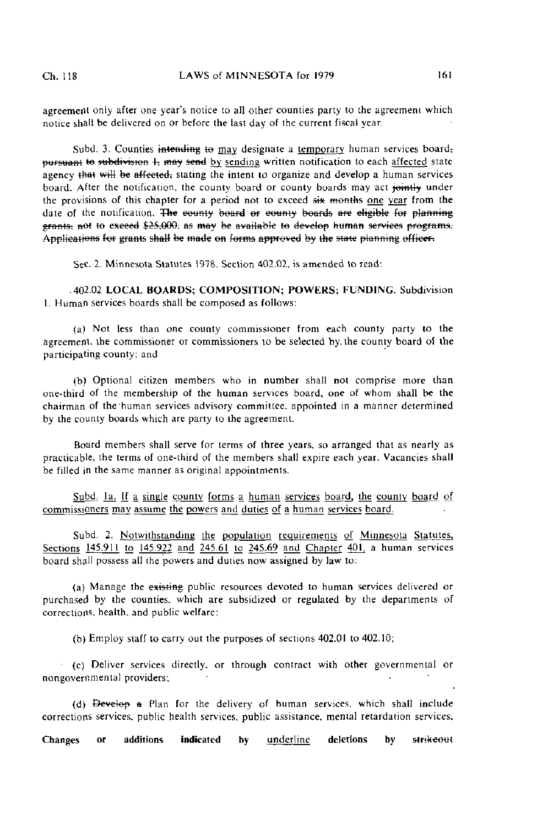agreement only after one year's notice to all other counties party to the agreement which notice shall be delivered on or before the last day of the current fiscal year.

Subd. 3. Counties intending to may designate a temporary human services board; pursuant to subdivision 1, may send by sending written notification to each affected state agency that will be affected, stating the intent to organize and develop a human services board. After the notification, the county board or county boards may act jointly under the provisions of this chapter for a period not to exceed  $s<sub>i</sub>$  months one year from the date of the notification. The equaty board or equaty boards are eligible for planning grants, not to exceed \$25,000, as may be available to develop human services programs. Applications for grants shall be made on forms approved by the state planning officer.

Sec. 2. Minnesota Statutes 1978, Section 402.02, is amended to read:

40202 LOCAL BOARDS; COMPOSITION; POWERS; FUNDING. Subdivision 1. Human services boards shall be composed as follows:

(a) Not less than one county commissioner from each county party to the agreement, the commissioner or commissioners to be selected by. the county board of the participating county; and

(b) Optional citizen members who in number shall not comprise more than one-third of the membership of the human services board, one of whom shall be the chairman of the'human services advisory committee, appointed in a manner determined by ihe county boards which are party to the agreement.

Board members shall serve for terms of three years, so arranged that as nearly as practicable, the terms of one-third of the members shall expire each year. Vacancies shall be filled in the same manner as original appointments.

Subd. Ia. If a single county forms a human services board, the county board of commissioners may assume the powers and duties of a human services board.

Subd. 2. Notwithstanding the population requirements of Minnesota Statutes, Sections 145.911 to 145.922 and 245.61 to 245.69 and Chapter 401, a human services board shall possess all the powers and duties now assigned by law to:

(a) Manage the existing public resources devoted to human services delivered or purchased by the counties, which are subsidized or regulated by the departments of corrections, health, and public welfare;

(b) Employ staff to carry out the purposes of sections 402.01 to 402.10;

(c) Deliver services directly, or through contract with other governmental or nongovernmental providers;

(d) Develop & Plan for the delivery of human services, which shall include corrections services, public health services, public assistance, mental retardation services.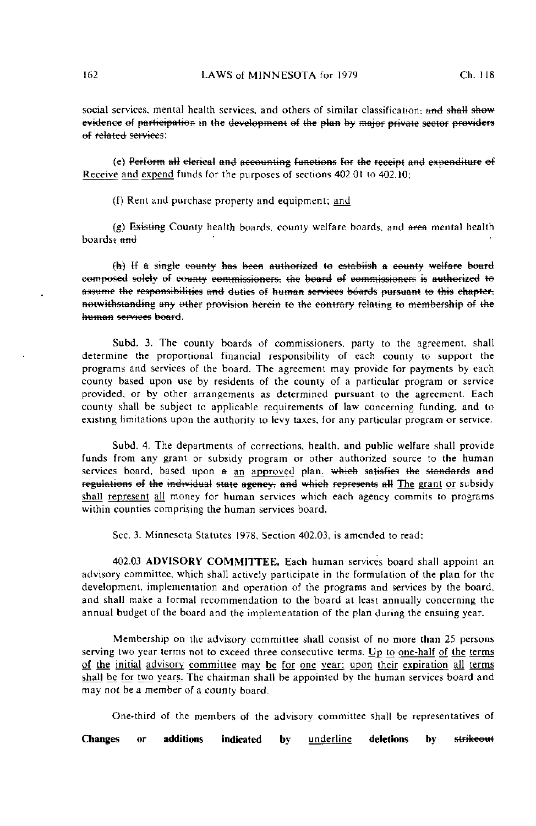social services, mental health services, and others of similar classification; and shall show evidence of participation in the development of the plan by major private sector providers of related services;

(e) Perform all clerical and accounting functions for the receipt and expenditure of Receive and expend funds for the purposes of sections 402.01 to 402.10;

(f) Rent and purchase property and equipment; and

(g) Existing County health boards, county welfare boards, and  $\theta$  mental health  $boards: and$ 

(h) If a single county has been authorized to establish a county welfare board composed solely of county commissioners, the board of commissioners is authorized to assume the responsibilities and duties of human services boards pursuant to this chapter. notwithstanding any ether provision herein te the contrary relating te membership ef the human services beafd.

Subd. 3. The county boards of commissioners, party to the agreement, shall determine the proportional financial responsibility of each county to support the programs and services of the board. The agreement may provide for payments by each county based upon use by residents of the county of a particular program or service provided, or by other arrangements as determined pursuant to the agreement. Each county shall be subject to applicable requirements of law concerning funding, and to existing limitations upon the authority to levy taxes, for any particular program or service.

Subd. 4. The departments of corrections, health, and public welfare shall provide funds from any grant or subsidy program or other authorized source to the human services board, based upon a an approved plan. which satisfies the standards and regulations of the individual state ageney, and which represents all The grant or subsidy shall represent all money for human services which each agency commits to programs within counties comprising the human services board.

Sec. 3. Minnesota Statutes 1978, Section 402.03, is amended to read:

402.03 ADVISORY COMMITTEE. Each human services board shall appoint an advisory committee, which shall actively participate in the formulation of the plan for the development, implementation and operation of the programs and services by the board, and shall make a formal recommendation to the board at least annually concerning the annual budget of the board and the implementation of the plan during the ensuing year.

Membership on the advisory committee shall consist of no more than 25 persons serving two year terms not to exceed three consecutive terms. Up to one-half of the terms of the initial advisory committee may be for one year; upon their expiration all terms shall be for two years. The chairman shall be appointed by the human services board and may not be a member of a county board.

One-third of the members of the advisory committee shall be representatives of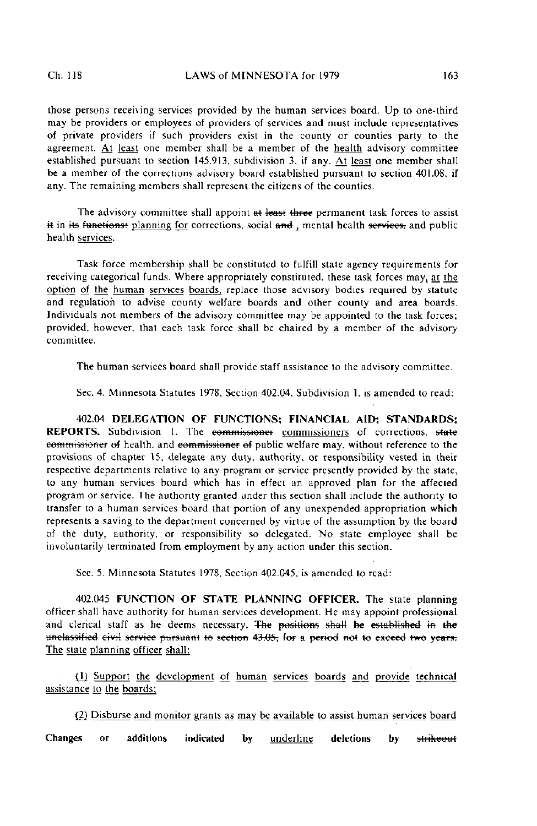those persons receiving services provided by the human services board. Up to one-third may be providers or employees of providers of services and must include representatives of private providers if such providers exist in the county or counties party to the agreement. At least one member shall be a member of the health advisory committee established pursuant to section 145.913, subdivision 3, if any. At least one member shall be a member of the corrections advisory board established pursuant to section 401.08, if any. The remaining members shall represent the citizens of the counties.

The advisory committee shall appoint at least three permanent task forces to assist it in its functions: planning for corrections, social and, mental health services, and public health services.

Task force membership shall be constituted to fulfill state agency requirements for receiving categorical funds. Where appropriately constituted, these task forces may, at the option of the human services boards, replace those advisory bodies required by statute and regulation to advise county welfare boards and other county and area boards. Individuals not members of the advisory committee may be appointed to the task forces; provided, however, that each task force shall be chaired by a member of the advisory committee.

The human services board shall provide staff assistance to the advisory committee.

Sec. 4. Minnesota Statutes 1978, Section 402.04, Subdivision I, is amended to read:

402.04 DELEGATION OF FUNCTIONS; FINANCIAL AID; STANDARDS; REPORTS. Subdivision 1. The eommissioner commissioners of corrections, state eommissioner of health, and commissioner of public welfare may, without reference to the provisions of chapter 15, delegate any duty, authority, or responsibility vested in their respective departments relative to any program or service presently provided by the state, to any human services board which has in effect an approved plan for the affected program or service. The authority granted under this section shall include the authority to transfer to a human services board that portion of any unexpended appropriation which represents a saving to the department concerned by virtue of the assumption by the board of the duty, authority, or responsibility so delegated. No state employee shall be involuntarily terminated from employment by any action under this section.

Sec. 5. Minnesota Statutes 1978, Section 402.045, is amended to read:

402.045 FUNCTION OF STATE PLANNING OFFICER. The state planning officer shall have authority for human services development. He may appoint professional and clerical staff as he deems necessary. The positions shall be established in the unclassified civil service pursuant to section 43,05, for a period not to exceed two years. The state planning officer shall:

(1) Support the development of human services boards and provide technical assistance to the boards;

(2) Disburse and monitor grants as may be available to assist human services board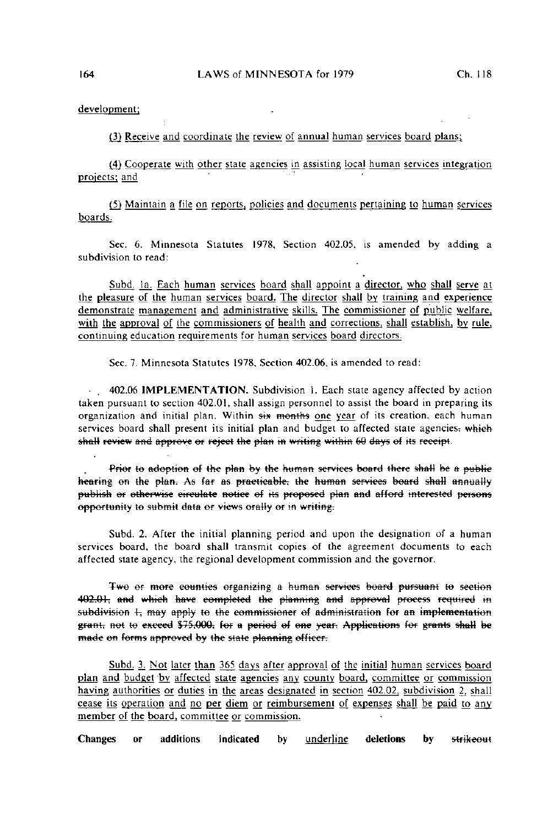## development;

(3) Receive and coordinate the review of annual human services board plans;

(4) Cooperate with other state agencies in assisting local human services integration projects; and

(5) Maintain a file on reports, policies and documents pertaining to human services boards.

Sec. 6. Minnesota Statutes 1978, Section 402.05, is amended by adding a subdivision to read:

Subd. la. Each human services board shall appoint a director, who shall serve at the pleasure of the human services board. The director shall by training and experience demonstrate management and administrative skills. The commissioner of public welfare, with the approval of the commissioners of health and corrections, shall establish, by rule, continuing education requirements for human services board directors.

Sec. 7. Minnesota Statutes 1978, Section 402.06, is amended to read:

• , 402.06 IMPLEMENTATION. Subdivision I. Each state agency affected by action taken pursuant to section 402.01, shall assign personnel to assist the board in preparing its organization and initial plan. Within six months one year of its creation, each human services board shall present its initial plan and budget to affected state agencies; which shall review and approve or reject the plan in writing within 60 days of its receipt.

Prior to adoption of the plan by the human services board there shall be a public<br>hearing on the plan. As far as practicable, the human services board shall annually publish or otherwise circulate notice of its proposed plan and afford interested persons opportunity to submit data or views orally or in writing.

Subd. 2. After the initial planning period and upon the designation of a human services board, the board shall transmit copies of the agreement documents to each affected state agency, the regional development commission and the governor.

Two or more counties organizing a human services board pursuant to section 402.01, and which have completed the planning and approval process required in subdivision 1-; may apply to the commissioner of administration for an implementation grant, not to exceed \$75,000; for a period of one year. Applications for grants shall be made on forms approved by the state planning officer.

Subd, 3. Not later than 365 days after approval of the initial human services board plan and budget 'by affected state agencies any county board, committee or commission haying authorities or duties in the areas designated in section 402.02, subdivision 2, shall cease its operation and no per diem or reimbursement of expenses shall be paid to any member of the board, committee or commission.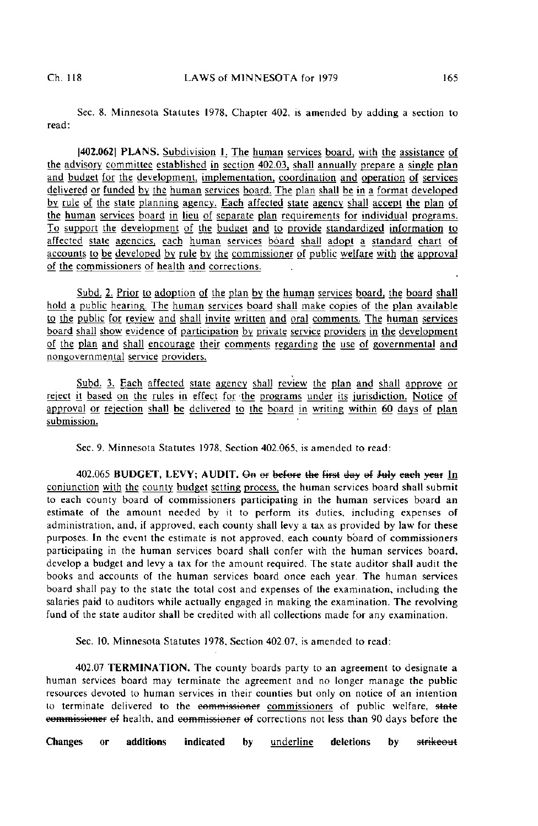Sec. 8. Minnesota Statutes 1978. Chapter 402, is amended by adding a section to read:

(402.062] PLANS. Subdivision L The human services board, with the assistance of the advisory committee established in section 402.03. shall annually prepare a single plan and budget for the development, implementation, coordination and operation of services delivered or funded by the human services board. The plan shall be in a format developed by rule of the slate planning agency. Each affected state agency shall accept the plan of the human services board in lieu of separate plan requirements for individual programs. To support the development of the budget and to provide standardized information to affected state agencies, each human services board shall adopt a standard chart of accounts to be developed by rule by the commissioner of public welfare with the approval of the commissioners of health and corrections.

Subd. 2. Prior to adoption of the plan by the human services board, the board shall hold a public hearing. The human services board shall make copies of the plan available to the public for review and shall invite written and oral comments. The human services board shall show evidence of participation by private service providers in the development of the plan and shall encourage their comments regarding the use of governmental and nongovernmental service providers.

Subd. 3. Each affected state agency shall review the plan and shall approve or reject it based on the rules in effect for the programs under its jurisdiction. Notice of approval or rejection shall be delivered to the board in writing within 60 days of plan submission.

Sec. 9. Minnesota Statutes 1978, Section 402.065, is amended to read:

402.065 BUDGET, LEVY; AUDIT. On or before the first day of July each year In conjunction with the county budget setting process, the human services board shall submit to each county board of commissioners participating in the human services board an estimate of the amount needed by it to perform its duties, including expenses of administration, and, if approved, each county shall levy a tax as provided by law for these purposes. In the event the estimate is not approved, each county board of commissioners participating in the human services board shall confer with the human services board, develop a budget and levy a lax for the amount required. The state auditor shall audit the books and accounts of the human services board once each year. The human services board shall pay to the state the total cost and expenses of the examination, including the salaries paid to auditors while actually engaged in making the examination. The revolving fund of the state auditor shall be credited with all collections made for any examination.

Sec. 10. Minnesota Statutes 1978, Section 402.07, is amended to read:

402.07 TERMINATION. The county boards party to an agreement to designate a human services board may terminate the agreement and no longer manage the public resources devoted to human services in their counties but only on notice of an intention to terminate delivered to the commissioner commissioners of public welfare, state commissioner ef health, and commissioner ef corrections not less than 90 days before the

Changes or additions indicated by <u>underline</u> deletions by <del>strikeou</del>t